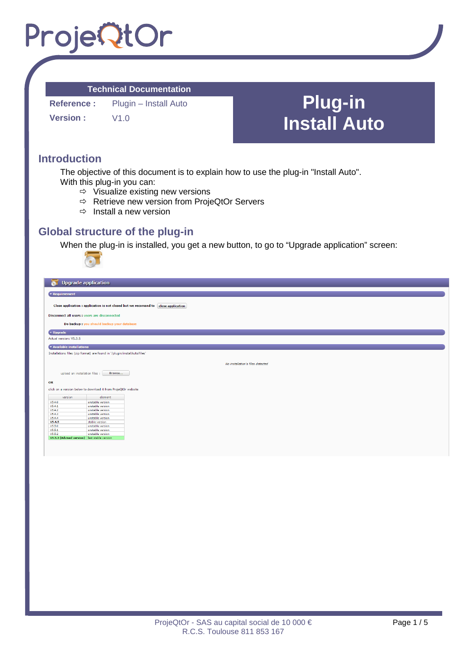### **Technical Documentation**

**Reference :** Plugin – Install Auto **Version :**  $V1.0$ 

**Plug-in Install Auto** 

## **Introduction**

The objective of this document is to explain how to use the plug-in "Install Auto". With this plug-in you can:

- $\Rightarrow$  Visualize existing new versions
- $\Rightarrow$  Retrieve new version from ProjeQtOr Servers
- $\Rightarrow$  Install a new version

## **Global structure of the plug-in**

When the plug-in is installed, you get a new button, to go to "Upgrade application" screen:

|                                                                                    | $\sim$                                                         |  |  |  |  |
|------------------------------------------------------------------------------------|----------------------------------------------------------------|--|--|--|--|
|                                                                                    |                                                                |  |  |  |  |
| <b>Upgrade application</b><br>$\bullet$                                            |                                                                |  |  |  |  |
|                                                                                    |                                                                |  |  |  |  |
| $\star$ Requierement                                                               |                                                                |  |  |  |  |
| Close application : application is not closed but we recomand to close application |                                                                |  |  |  |  |
| Disconnect all users : users are disconnected                                      |                                                                |  |  |  |  |
| Do backup : you should backup your database                                        |                                                                |  |  |  |  |
| v Upgrade                                                                          |                                                                |  |  |  |  |
| Actual version: V5.3.5                                                             |                                                                |  |  |  |  |
| * Available installations                                                          |                                                                |  |  |  |  |
| Installations files (zip format) are found in '/plugin/installAuto/files'          |                                                                |  |  |  |  |
| No installation's files detected                                                   |                                                                |  |  |  |  |
|                                                                                    |                                                                |  |  |  |  |
| upload an installation files :                                                     | Browse                                                         |  |  |  |  |
| OR                                                                                 |                                                                |  |  |  |  |
|                                                                                    | click on a version below to download it from ProjeQtOr website |  |  |  |  |
| version                                                                            | element                                                        |  |  |  |  |
| V5.4.0                                                                             | unstable version                                               |  |  |  |  |
| V5.4.1                                                                             | unstable version                                               |  |  |  |  |
| V5.4.2                                                                             | unstable version                                               |  |  |  |  |
| V5.4.3                                                                             | unstable version                                               |  |  |  |  |
| V5.4.4<br>V5.4.5                                                                   | unstable version<br>stable version                             |  |  |  |  |
| V5.5.0                                                                             | unstable version                                               |  |  |  |  |
| V5.5.1                                                                             | unstable version                                               |  |  |  |  |
| V5.5.2                                                                             | unstable version                                               |  |  |  |  |
| V5.5.3 (Advised version) last stable version                                       |                                                                |  |  |  |  |
|                                                                                    |                                                                |  |  |  |  |
|                                                                                    |                                                                |  |  |  |  |
|                                                                                    |                                                                |  |  |  |  |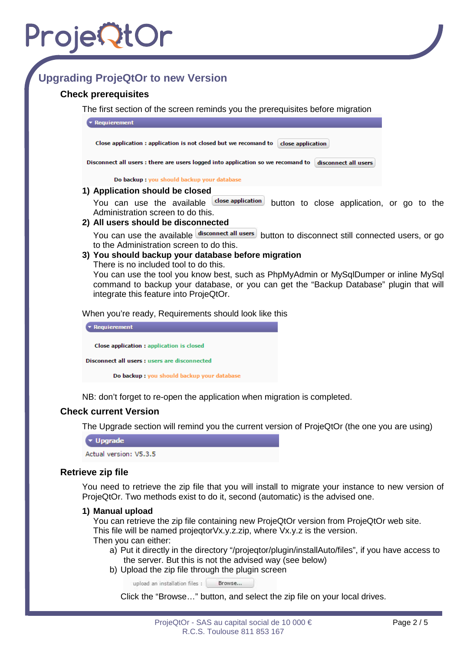## **Upgrading ProjeQtOr to new Version**

### **Check prerequisites**

The first section of the screen reminds you the prerequisites before migration



You can use the available dose application button to close application, or go to the Administration screen to do this.

#### **2) All users should be disconnected**

You can use the available disconnect all users button to disconnect still connected users, or go to the Administration screen to do this.

### **3) You should backup your database before migration**

There is no included tool to do this.

You can use the tool you know best, such as PhpMyAdmin or MySqlDumper or inline MySql command to backup your database, or you can get the "Backup Database" plugin that will integrate this feature into ProjeQtOr.

When you're ready, Requirements should look like this

 $\star$  Requierement Close application : application is closed Disconnect all users : users are disconnected Do backup : you should backup your database

NB: don't forget to re-open the application when migration is completed.

### **Check current Version**

The Upgrade section will remind you the current version of ProjeQtOr (the one you are using)

 $\blacktriangledown$  Upgrade

Actual version: V5.3.5

#### **Retrieve zip file**

You need to retrieve the zip file that you will install to migrate your instance to new version of ProjeQtOr. Two methods exist to do it, second (automatic) is the advised one.

#### **1) Manual upload**

You can retrieve the zip file containing new ProjeQtOr version from ProjeQtOr web site. This file will be named projeqtorVx.y.z.zip, where Vx.y.z is the version.

Then you can either:

- a) Put it directly in the directory "/projeqtor/plugin/installAuto/files", if you have access to the server. But this is not the advised way (see below)
- b) Upload the zip file through the plugin screen

upload an installation files : Browse...

Click the "Browse…" button, and select the zip file on your local drives.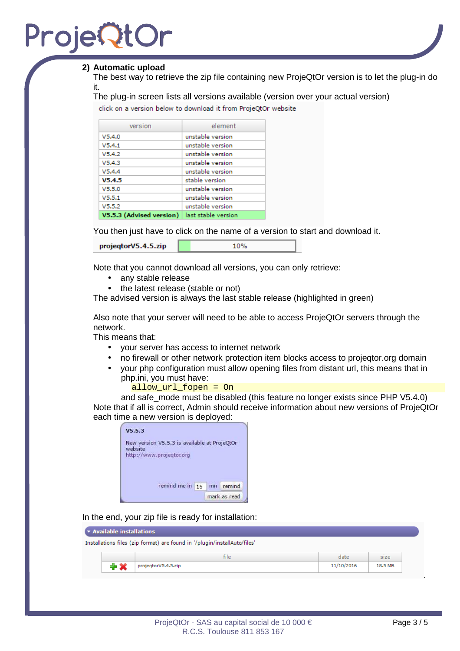## Proje**Qt**

### **2) Automatic upload**

The best way to retrieve the zip file containing new ProjeQtOr version is to let the plug-in do it.

The plug-in screen lists all versions available (version over your actual version)

click on a version below to download it from ProjeQtOr website

| version                  | element             |
|--------------------------|---------------------|
| V5.4.0                   | unstable version    |
| V5.4.1                   | unstable version    |
| V5.4.2                   | unstable version    |
| V5.4.3                   | unstable version    |
| V5.4.4                   | unstable version    |
| V5.4.5                   | stable version      |
| V5.5.0                   | unstable version    |
| V5.5.1                   | unstable version    |
| V5.5.2                   | unstable version    |
| V5.5.3 (Advised version) | last stable version |

You then just have to click on the name of a version to start and download it. 10%

| projegtorV5.4.5.zip |  |  |  |
|---------------------|--|--|--|
|                     |  |  |  |

Note that you cannot download all versions, you can only retrieve:

- any stable release
- the latest release (stable or not)

The advised version is always the last stable release (highlighted in green)

Also note that your server will need to be able to access ProjeQtOr servers through the network.

This means that:

- your server has access to internet network
- no firewall or other network protection item blocks access to projeqtor.org domain
- your php configuration must allow opening files from distant url, this means that in php.ini, you must have:

allow\_url\_fopen = On

and safe\_mode must be disabled (this feature no longer exists since PHP V5.4.0) Note that if all is correct, Admin should receive information about new versions of ProjeQtOr each time a new version is deployed:

| New version V5.5.3 is available at ProjeQtOr |    |        |
|----------------------------------------------|----|--------|
| website                                      |    |        |
| http://www.projegtor.org                     |    |        |
|                                              |    |        |
|                                              |    |        |
|                                              |    |        |
|                                              |    |        |
|                                              |    |        |
| remind me in 15                              | mn | remind |

In the end, your zip file is ready for installation:

| * Available installations |                                                                           |            |         |
|---------------------------|---------------------------------------------------------------------------|------------|---------|
|                           | Installations files (zip format) are found in '/plugin/installAuto/files' |            |         |
|                           | file.                                                                     | date       | size    |
|                           | projegtorV5.4.5.zip                                                       | 11/10/2016 | 18.5 MB |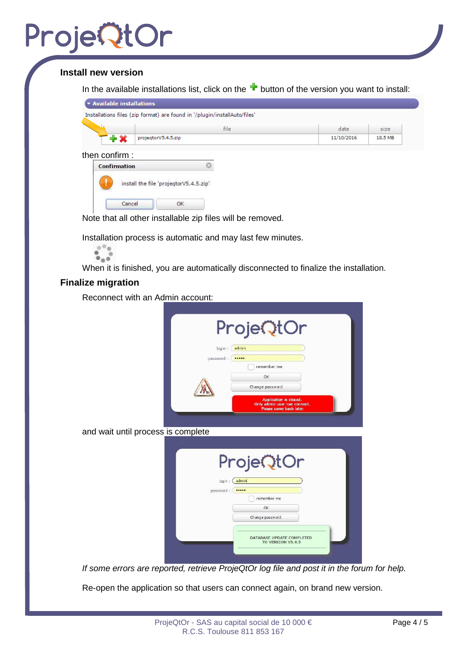## **Install new version**

In the available installations list, click on the  $\blacksquare$  button of the version you want to install:

|                                        | file | date       | size    |
|----------------------------------------|------|------------|---------|
| $+ \times$<br>projegtorV5.4.5.zip      |      | 11/10/2016 | 18.5 MB |
| Confirmation                           |      |            |         |
|                                        |      |            |         |
| install the file 'projegtorV5.4.5.zip' |      |            |         |

Note that all other installable zip files will be removed.

Installation process is automatic and may last few minutes.



When it is finished, you are automatically disconnected to finalize the installation.

### **Finalize migration**

Reconnect with an Admin account:

|           | ProjeQtOr                                                                         |
|-----------|-----------------------------------------------------------------------------------|
| login :   | admin                                                                             |
| password: |                                                                                   |
|           | remember me                                                                       |
|           | OK                                                                                |
|           | Change password                                                                   |
|           | Application is closed.<br>Only admin user can connect.<br>Please come back later. |

and wait until process is complete

|                      | ProjeQtOr                                             |
|----------------------|-------------------------------------------------------|
| login :<br>password: | admin<br><br>remember me<br>OK                        |
|                      | Change password                                       |
|                      | <b>DATABASE UPDATE COMPLETED</b><br>TO VERSION V5.4.5 |

If some errors are reported, retrieve ProjeQtOr log file and post it in the forum for help.

Re-open the application so that users can connect again, on brand new version.